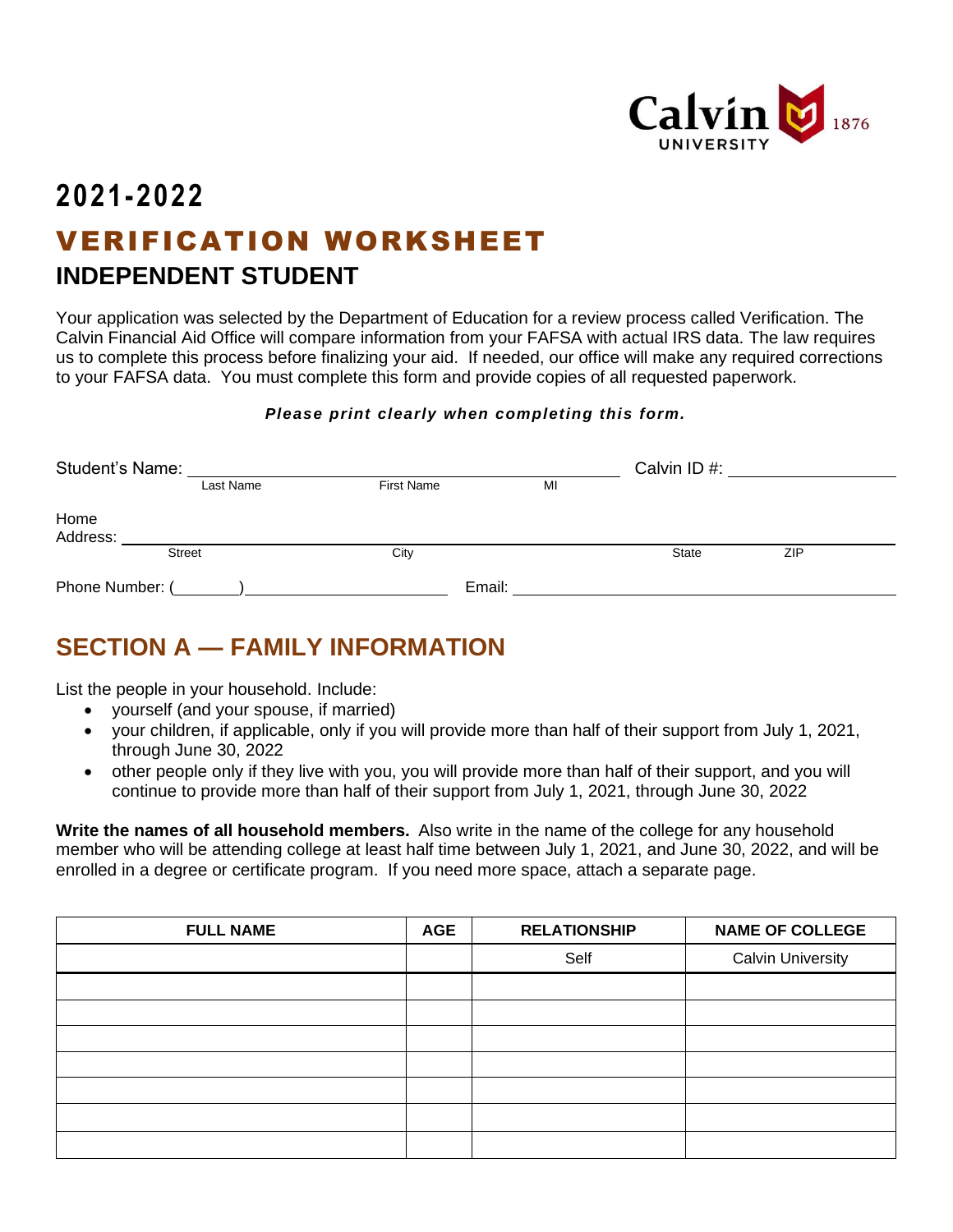

# **2021-2022** VERIFICATION WORKSHEET **INDEPENDENT STUDENT**

Your application was selected by the Department of Education for a review process called Verification. The Calvin Financial Aid Office will compare information from your FAFSA with actual IRS data. The law requires us to complete this process before finalizing your aid. If needed, our office will make any required corrections to your FAFSA data. You must complete this form and provide copies of all requested paperwork.

### *Please print clearly when completing this form.*

| Student's Name:  |               |                   |        | Calvin ID#:  |     |  |
|------------------|---------------|-------------------|--------|--------------|-----|--|
|                  | Last Name     | <b>First Name</b> | MI     |              |     |  |
| Home<br>Address: |               |                   |        |              |     |  |
|                  | <b>Street</b> | City              |        | <b>State</b> | ZIP |  |
| Phone Number: (  |               |                   | Email: |              |     |  |

## **SECTION A — FAMILY INFORMATION**

List the people in your household. Include:

- yourself (and your spouse, if married)
- your children, if applicable, only if you will provide more than half of their support from July 1, 2021, through June 30, 2022
- other people only if they live with you, you will provide more than half of their support, and you will continue to provide more than half of their support from July 1, 2021, through June 30, 2022

**Write the names of all household members.** Also write in the name of the college for any household member who will be attending college at least half time between July 1, 2021, and June 30, 2022, and will be enrolled in a degree or certificate program. If you need more space, attach a separate page.

| <b>FULL NAME</b> | <b>AGE</b> | <b>RELATIONSHIP</b> | <b>NAME OF COLLEGE</b>   |
|------------------|------------|---------------------|--------------------------|
|                  |            | Self                | <b>Calvin University</b> |
|                  |            |                     |                          |
|                  |            |                     |                          |
|                  |            |                     |                          |
|                  |            |                     |                          |
|                  |            |                     |                          |
|                  |            |                     |                          |
|                  |            |                     |                          |